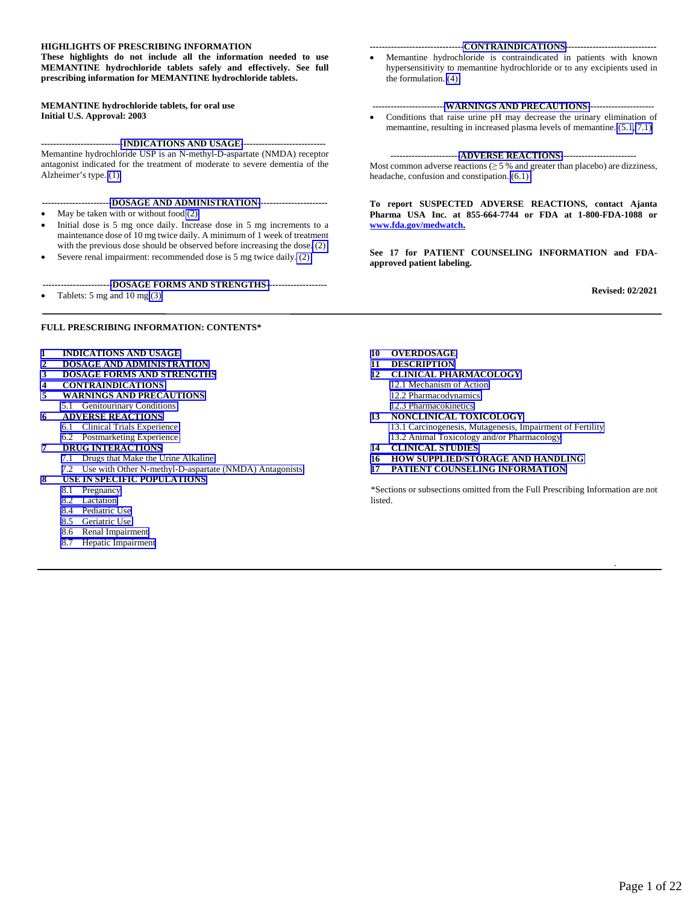#### **HIGHLIGHTS OF PRESCRIBING INFORMATION**

**These highlights do not include all the information needed to use MEMANTINE hydrochloride tablets safely and effectively. See full prescribing information for MEMANTINE hydrochloride tablets.** 

#### **MEMANTINE hydrochloride tablets, for oral use Initial U.S. Approval: 2003**

**--------------------------[-INDICATIONS AND USAGE-](#page-1-0)---------------------------**  Memantine hydrochloride USP is an N-methyl-D-aspartate (NMDA) receptor antagonist indicated for the treatment of moderate to severe dementia of the Alzheimer's type. [\(1\)](#page-1-0) 

- **----------------------[-DOSAGE AND ADMINISTRATION-](#page-1-0)----------------------**
- May be taken with or without food [\(2\)](#page-1-0)
- Initial dose is 5 mg once daily. Increase dose in 5 mg increments to a maintenance dose of 10 mg twice daily. A minimum of 1 week of treatment with the previous dose should be observed before increasing the dose[. \(2\)](#page-1-0)
- Severe renal impairment: recommended dose is 5 mg twice daily[. \(2\)](#page-1-0)
- **----------------------[-DOSAGE FORMS AND STRENGTHS-](#page-1-0)-------------------**
- Tablets: 5 mg and 10 mg [\(3\)](#page-1-0)

#### **FULL PRESCRIBING INFORMATION: CONTENTS\***

- **[1 INDICATIONS](#page-1-0) AND USAGE**
- **2 [DOSAGE AND ADMINISTRATION](#page-1-0)**
- **3 [DOSAGE FORMS AND STRENGTHS](#page-1-0)**
- **4 [CONTRAINDICATIONS](#page-1-0)**
- **5 [WARNINGS AND PRECAUTIONS](#page-2-1)**  5.1 [Genitourinary Conditions](#page-2-0)
- **6 [ADVERSE REACTIONS](#page-2-1)**  6.1 [Clinical Trials Experience](#page-2-0)
- 6.2 [Postmarketing Experience](#page-3-0)
- **7 [DRUG INTERACTIONS](#page-4-0)** 
	- 7.1 [Drugs that Make the Urine Alkaline](#page-4-0)
	-
	- 7.2 [Use with Other N-methyl-D-aspartate \(NMDA\) Antagonists](#page-4-0)
- **8 [USE IN SPECIFIC POPULATIONS](#page-4-1)** 
	- 8.1 [Pregnancy](#page-4-1)
	- 8.2 [Lactation](#page-5-0)
	- 8.4 [Pediatric Use](#page-5-0)
	- 8.5 [Geriatric Use](#page-7-0)
	- 8.6 [Renal Impairment](#page-7-0)
	- 8.7 [Hepatic Impairment](#page-7-0)

#### **------------------------------[-CONTRAINDICATIONS-](#page-1-0)-----------------------------**

 Memantine hydrochloride is contraindicated in patients with known hypersensitivity to memantine hydrochloride or to any excipients used in the formulation. [\(4\)](#page-1-0)

#### **-----------------------[-WARNINGS AND PRECAUTIONS-](#page-1-0)---------------------**

 Conditions that raise urine pH may decrease the urinary elimination of memantine, resulting in increased plasma levels of memantine. [\(5.1,](#page-2-0) [7.1\)](#page-4-0)

#### **----------------------[-ADVERSE REACTIONS-](#page-2-1)------------------------**

Most common adverse reactions  $(≥ 5 %$  and greater than placebo) are dizziness, headache, confusion and constipation. [\(6.1\)](#page-2-1) 

**To report SUSPECTED ADVERSE REACTIONS, contact Ajanta Pharma USA Inc. at 855-664-7744 or FDA at 1-800-FDA-1088 or www.fda.gov/medwatch.** 

**See 17 for PATIENT COUNSELING INFORMATION and FDAapproved patient labeling.** 

**Revised: 02/2021** 

.

**10 [OVERDOSAGE](#page-7-0)** 

- **11 [DESCRIPTION](#page-8-0)**
- **12 [CLINICAL PHARMACOLOGY](#page-8-0)** 
	- [12.1 Mechanism of Action](#page-8-0)
	- [12.2 Pharmacodynamics](#page-8-0)
	- [12.3 Pharmacokinetics](#page-9-0)
- **13 [NONCLINICAL TOXICOLOGY](#page-11-0)**  [13.1 Carcinogenesis, Mutagenesis, Impairment of Fertility](#page-11-0) [13.2 Animal Toxicology and/or Pharmacology](#page-11-0)
- 
- **14 [CLINICAL STUDIES](#page-12-0)  16 [HOW SUPPLIED/STORAGE AND HANDLING](#page-17-0)**
- **17 [PATIENT COUNSELING INFORMATION](#page-18-0)**

\*Sections or subsections omitted from the Full Prescribing Information are not listed.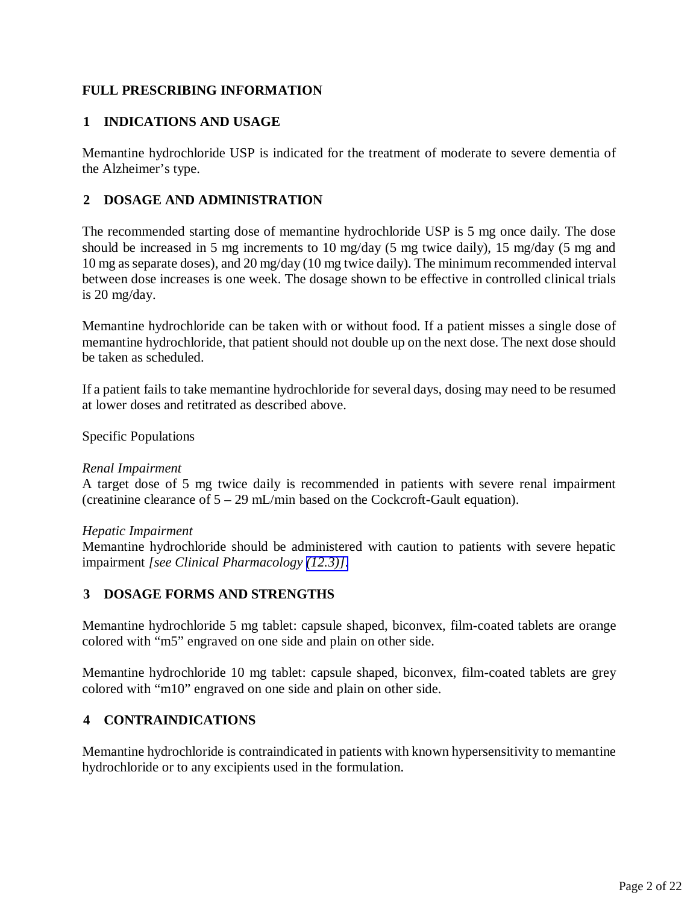# <span id="page-1-1"></span><span id="page-1-0"></span>**FULL PRESCRIBING INFORMATION**

# **1 INDICATIONS AND USAGE**

Memantine hydrochloride USP is indicated for the treatment of moderate to severe dementia of the Alzheimer's type.

# **2 DOSAGE AND ADMINISTRATION**

The recommended starting dose of memantine hydrochloride USP is 5 mg once daily. The dose should be increased in 5 mg increments to 10 mg/day (5 mg twice daily), 15 mg/day (5 mg and 10 mg as separate doses), and 20 mg/day (10 mg twice daily). The minimum recommended interval between dose increases is one week. The dosage shown to be effective in controlled clinical trials is 20 mg/day.

Memantine hydrochloride can be taken with or without food. If a patient misses a single dose of memantine hydrochloride, that patient should not double up on the next dose. The next dose should be taken as scheduled.

If a patient fails to take memantine hydrochloride for several days, dosing may need to be resumed at lower doses and retitrated as described above.

Specific Populations

### *Renal Impairment*

A target dose of 5 mg twice daily is recommended in patients with severe renal impairment (creatinine clearance of 5 – 29 mL/min based on the Cockcroft-Gault equation).

### *Hepatic Impairment*

Memantine hydrochloride should be administered with caution to patients with severe hepatic impairment *[see Clinical Pharmacology [\(12.3\)\]](#page-9-0)*.

# **3 DOSAGE FORMS AND STRENGTHS**

Memantine hydrochloride 5 mg tablet: capsule shaped, biconvex, film-coated tablets are orange colored with "m5" engraved on one side and plain on other side.

Memantine hydrochloride 10 mg tablet: capsule shaped, biconvex, film-coated tablets are grey colored with "m10" engraved on one side and plain on other side.

### **4 CONTRAINDICATIONS**

Memantine hydrochloride is contraindicated in patients with known hypersensitivity to memantine hydrochloride or to any excipients used in the formulation.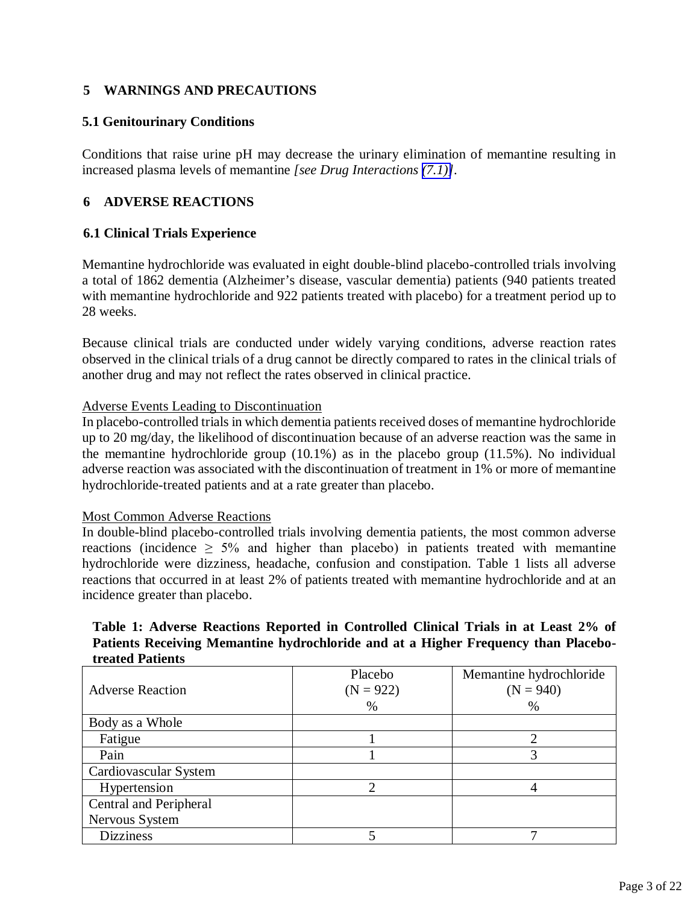# <span id="page-2-2"></span><span id="page-2-1"></span><span id="page-2-0"></span>**5 WARNINGS AND PRECAUTIONS**

# **5.1 Genitourinary Conditions**

Conditions that raise urine pH may decrease the urinary elimination of memantine resulting in increased plasma levels of memantine *[see Drug Interactions [\(7.1\)\]](#page-4-2)*.

# **6 ADVERSE REACTIONS**

### **6.1 Clinical Trials Experience**

Memantine hydrochloride was evaluated in eight double-blind placebo-controlled trials involving a total of 1862 dementia (Alzheimer's disease, vascular dementia) patients (940 patients treated with memantine hydrochloride and 922 patients treated with placebo) for a treatment period up to 28 weeks.

Because clinical trials are conducted under widely varying conditions, adverse reaction rates observed in the clinical trials of a drug cannot be directly compared to rates in the clinical trials of another drug and may not reflect the rates observed in clinical practice.

### Adverse Events Leading to Discontinuation

In placebo-controlled trials in which dementia patients received doses of memantine hydrochloride up to 20 mg/day, the likelihood of discontinuation because of an adverse reaction was the same in the memantine hydrochloride group (10.1%) as in the placebo group (11.5%). No individual adverse reaction was associated with the discontinuation of treatment in 1% or more of memantine hydrochloride-treated patients and at a rate greater than placebo.

#### Most Common Adverse Reactions

In double-blind placebo-controlled trials involving dementia patients, the most common adverse reactions (incidence  $\geq$  5% and higher than placebo) in patients treated with memantine hydrochloride were dizziness, headache, confusion and constipation. Table 1 lists all adverse reactions that occurred in at least 2% of patients treated with memantine hydrochloride and at an incidence greater than placebo.

# **Table 1: Adverse Reactions Reported in Controlled Clinical Trials in at Least 2% of Patients Receiving Memantine hydrochloride and at a Higher Frequency than Placebotreated Patients**

| <b>Adverse Reaction</b> | Placebo<br>$(N = 922)$ | Memantine hydrochloride<br>$(N = 940)$ |
|-------------------------|------------------------|----------------------------------------|
|                         | $\%$                   | $\%$                                   |
| Body as a Whole         |                        |                                        |
| Fatigue                 |                        |                                        |
| Pain                    |                        |                                        |
| Cardiovascular System   |                        |                                        |
| Hypertension            |                        |                                        |
| Central and Peripheral  |                        |                                        |
| Nervous System          |                        |                                        |
| <b>Dizziness</b>        |                        |                                        |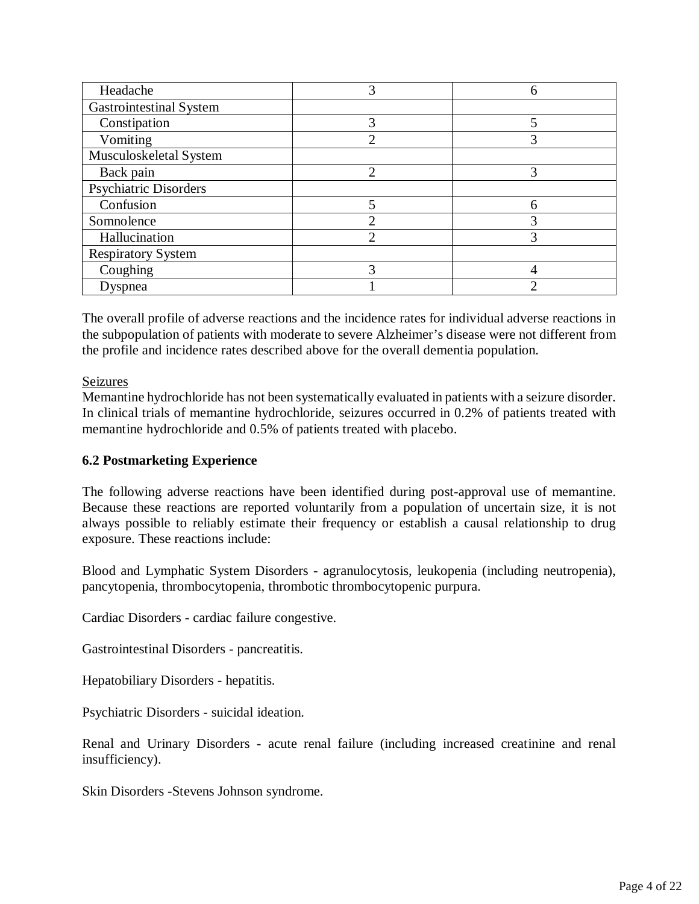<span id="page-3-0"></span>

| Headache                       | 3 |   |
|--------------------------------|---|---|
| <b>Gastrointestinal System</b> |   |   |
| Constipation                   | 3 |   |
| Vomiting                       | っ |   |
| Musculoskeletal System         |   |   |
| Back pain                      | っ | 3 |
| <b>Psychiatric Disorders</b>   |   |   |
| Confusion                      | 5 |   |
| Somnolence                     | ◠ |   |
| Hallucination                  | っ |   |
| <b>Respiratory System</b>      |   |   |
| Coughing                       | 3 |   |
| Dyspnea                        |   |   |

The overall profile of adverse reactions and the incidence rates for individual adverse reactions in the subpopulation of patients with moderate to severe Alzheimer's disease were not different from the profile and incidence rates described above for the overall dementia population.

# Seizures

Memantine hydrochloride has not been systematically evaluated in patients with a seizure disorder. In clinical trials of memantine hydrochloride, seizures occurred in 0.2% of patients treated with memantine hydrochloride and 0.5% of patients treated with placebo.

# **6.2 Postmarketing Experience**

The following adverse reactions have been identified during post-approval use of memantine. Because these reactions are reported voluntarily from a population of uncertain size, it is not always possible to reliably estimate their frequency or establish a causal relationship to drug exposure. These reactions include:

Blood and Lymphatic System Disorders - agranulocytosis, leukopenia (including neutropenia), pancytopenia, thrombocytopenia, thrombotic thrombocytopenic purpura.

Cardiac Disorders - cardiac failure congestive.

Gastrointestinal Disorders - pancreatitis.

Hepatobiliary Disorders - hepatitis.

Psychiatric Disorders - suicidal ideation.

Renal and Urinary Disorders - acute renal failure (including increased creatinine and renal insufficiency).

Skin Disorders -Stevens Johnson syndrome.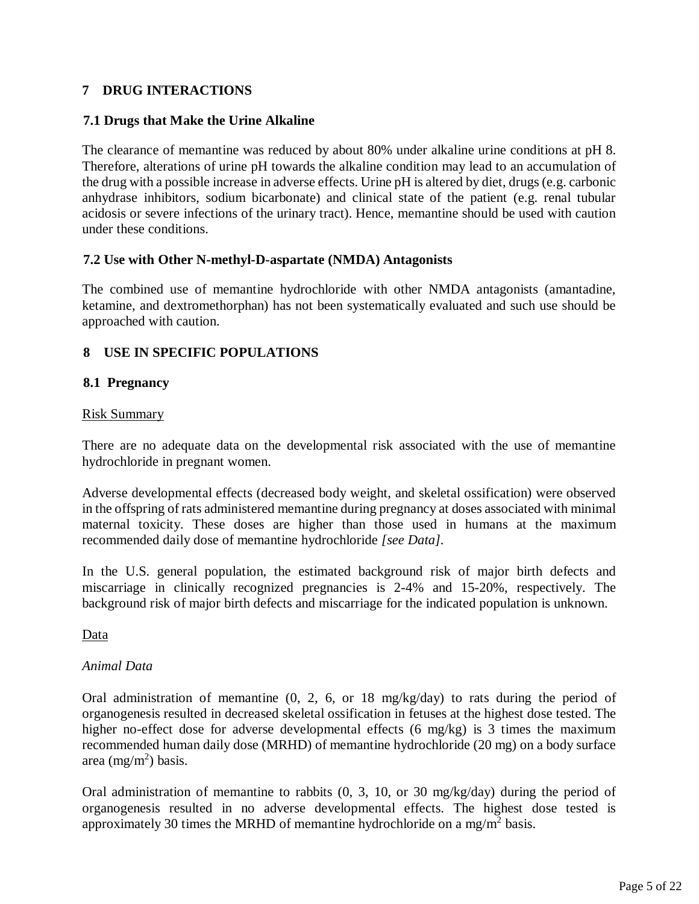# <span id="page-4-2"></span><span id="page-4-1"></span><span id="page-4-0"></span>**7 DRUG INTERACTIONS**

### **7.1 Drugs that Make the Urine Alkaline**

The clearance of memantine was reduced by about 80% under alkaline urine conditions at pH 8. Therefore, alterations of urine pH towards the alkaline condition may lead to an accumulation of the drug with a possible increase in adverse effects. Urine pH is altered by diet, drugs (e.g. carbonic anhydrase inhibitors, sodium bicarbonate) and clinical state of the patient (e.g. renal tubular acidosis or severe infections of the urinary tract). Hence, memantine should be used with caution under these conditions.

### **7.2 Use with Other N-methyl-D-aspartate (NMDA) Antagonists**

The combined use of memantine hydrochloride with other NMDA antagonists (amantadine, ketamine, and dextromethorphan) has not been systematically evaluated and such use should be approached with caution.

# **8 USE IN SPECIFIC POPULATIONS**

### **8.1 Pregnancy**

#### Risk Summary

There are no adequate data on the developmental risk associated with the use of memantine hydrochloride in pregnant women.

Adverse developmental effects (decreased body weight, and skeletal ossification) were observed in the offspring of rats administered memantine during pregnancy at doses associated with minimal maternal toxicity. These doses are higher than those used in humans at the maximum recommended daily dose of memantine hydrochloride *[see Data].*

In the U.S. general population, the estimated background risk of major birth defects and miscarriage in clinically recognized pregnancies is 2-4% and 15-20%, respectively. The background risk of major birth defects and miscarriage for the indicated population is unknown.

Data

#### *Animal Data*

Oral administration of memantine (0, 2, 6, or 18 mg/kg/day) to rats during the period of organogenesis resulted in decreased skeletal ossification in fetuses at the highest dose tested. The higher no-effect dose for adverse developmental effects (6 mg/kg) is 3 times the maximum recommended human daily dose (MRHD) of memantine hydrochloride (20 mg) on a body surface area  $(mg/m^2)$  basis.

Oral administration of memantine to rabbits (0, 3, 10, or 30 mg/kg/day) during the period of organogenesis resulted in no adverse developmental effects. The highest dose tested is approximately 30 times the MRHD of memantine hydrochloride on a mg/m<sup>2</sup> basis.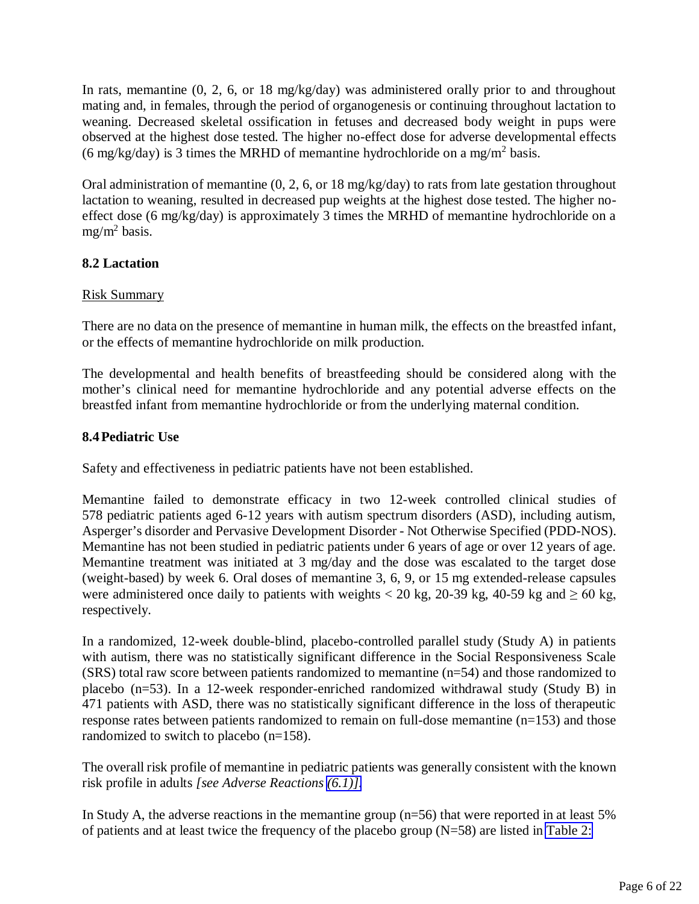<span id="page-5-0"></span>In rats, memantine (0, 2, 6, or 18 mg/kg/day) was administered orally prior to and throughout mating and, in females, through the period of organogenesis or continuing throughout lactation to weaning. Decreased skeletal ossification in fetuses and decreased body weight in pups were observed at the highest dose tested. The higher no-effect dose for adverse developmental effects (6 mg/kg/day) is 3 times the MRHD of memantine hydrochloride on a mg/m<sup>2</sup> basis.

Oral administration of memantine (0, 2, 6, or 18 mg/kg/day) to rats from late gestation throughout lactation to weaning, resulted in decreased pup weights at the highest dose tested. The higher noeffect dose (6 mg/kg/day) is approximately 3 times the MRHD of memantine hydrochloride on a mg/m<sup>2</sup> basis.

# **8.2 Lactation**

# Risk Summary

There are no data on the presence of memantine in human milk, the effects on the breastfed infant, or the effects of memantine hydrochloride on milk production.

The developmental and health benefits of breastfeeding should be considered along with the mother's clinical need for memantine hydrochloride and any potential adverse effects on the breastfed infant from memantine hydrochloride or from the underlying maternal condition.

# **8.4Pediatric Use**

Safety and effectiveness in pediatric patients have not been established.

Memantine failed to demonstrate efficacy in two 12-week controlled clinical studies of 578 pediatric patients aged 6-12 years with autism spectrum disorders (ASD), including autism, Asperger's disorder and Pervasive Development Disorder - Not Otherwise Specified (PDD-NOS). Memantine has not been studied in pediatric patients under 6 years of age or over 12 years of age. Memantine treatment was initiated at 3 mg/day and the dose was escalated to the target dose (weight-based) by week 6. Oral doses of memantine 3, 6, 9, or 15 mg extended-release capsules were administered once daily to patients with weights < 20 kg, 20-39 kg, 40-59 kg and  $\geq 60$  kg, respectively.

In a randomized, 12-week double-blind, placebo-controlled parallel study (Study A) in patients with autism, there was no statistically significant difference in the Social Responsiveness Scale (SRS) total raw score between patients randomized to memantine (n=54) and those randomized to placebo (n=53). In a 12-week responder-enriched randomized withdrawal study (Study B) in 471 patients with ASD, there was no statistically significant difference in the loss of therapeutic response rates between patients randomized to remain on full-dose memantine (n=153) and those randomized to switch to placebo (n=158).

The overall risk profile of memantine in pediatric patients was generally consistent with the known risk profile in adults *[see Adverse Reactions [\(6.1\)\].](#page-2-2)*

In Study A, the adverse reactions in the memantine group (n=56) that were reported in at least 5% of patients and at least twice the frequency of the placebo group (N=58) are listed in [Table 2:](#page-6-0)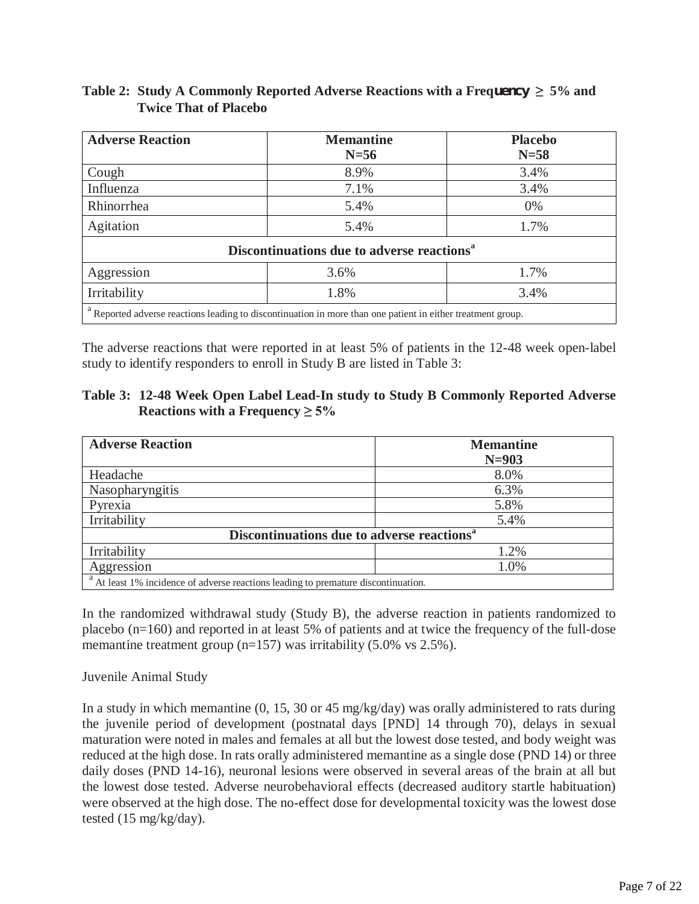| <b>Adverse Reaction</b>                                                                                                | <b>Memantine</b> | <b>Placebo</b> |  |  |
|------------------------------------------------------------------------------------------------------------------------|------------------|----------------|--|--|
|                                                                                                                        | $N=56$           | $N=58$         |  |  |
| Cough                                                                                                                  | 8.9%             | 3.4%           |  |  |
| Influenza                                                                                                              | 7.1%             | 3.4%           |  |  |
| Rhinorrhea                                                                                                             | 5.4%             | $0\%$          |  |  |
| Agitation                                                                                                              | 5.4%             | 1.7%           |  |  |
| Discontinuations due to adverse reactions <sup>a</sup>                                                                 |                  |                |  |  |
| Aggression                                                                                                             | 3.6%             | 1.7%           |  |  |
| Irritability                                                                                                           | 1.8%             | 3.4%           |  |  |
| <sup>a</sup> Reported adverse reactions leading to discontinuation in more than one patient in either treatment group. |                  |                |  |  |

# <span id="page-6-0"></span>**Table 2: Study A Commonly Reported Adverse Reactions with a Frequency**  $\geq 5\%$  **and Twice That of Placebo**

The adverse reactions that were reported in at least 5% of patients in the 12-48 week open-label study to identify responders to enroll in Study B are listed in Table 3:

| Table 3: 12-48 Week Open Label Lead-In study to Study B Commonly Reported Adverse |
|-----------------------------------------------------------------------------------|
| Reactions with a Frequency $\geq 5\%$                                             |

| <b>Adverse Reaction</b>                                                          | <b>Memantine</b> |  |  |
|----------------------------------------------------------------------------------|------------------|--|--|
|                                                                                  | $N = 903$        |  |  |
| Headache                                                                         | 8.0%             |  |  |
| Nasopharyngitis                                                                  | 6.3%             |  |  |
| Pyrexia                                                                          | 5.8%             |  |  |
| Irritability                                                                     | 5.4%             |  |  |
| Discontinuations due to adverse reactions <sup>a</sup>                           |                  |  |  |
| Irritability                                                                     | 1.2%             |  |  |
| Aggression                                                                       | 1.0%             |  |  |
| At least 1% incidence of adverse reactions leading to premature discontinuation. |                  |  |  |

In the randomized withdrawal study (Study B), the adverse reaction in patients randomized to placebo (n=160) and reported in at least 5% of patients and at twice the frequency of the full-dose memantine treatment group (n=157) was irritability (5.0% vs 2.5%).

### Juvenile Animal Study

In a study in which memantine (0, 15, 30 or 45 mg/kg/day) was orally administered to rats during the juvenile period of development (postnatal days [PND] 14 through 70), delays in sexual maturation were noted in males and females at all but the lowest dose tested, and body weight was reduced at the high dose. In rats orally administered memantine as a single dose (PND 14) or three daily doses (PND 14-16), neuronal lesions were observed in several areas of the brain at all but the lowest dose tested. Adverse neurobehavioral effects (decreased auditory startle habituation) were observed at the high dose. The no-effect dose for developmental toxicity was the lowest dose tested (15 mg/kg/day).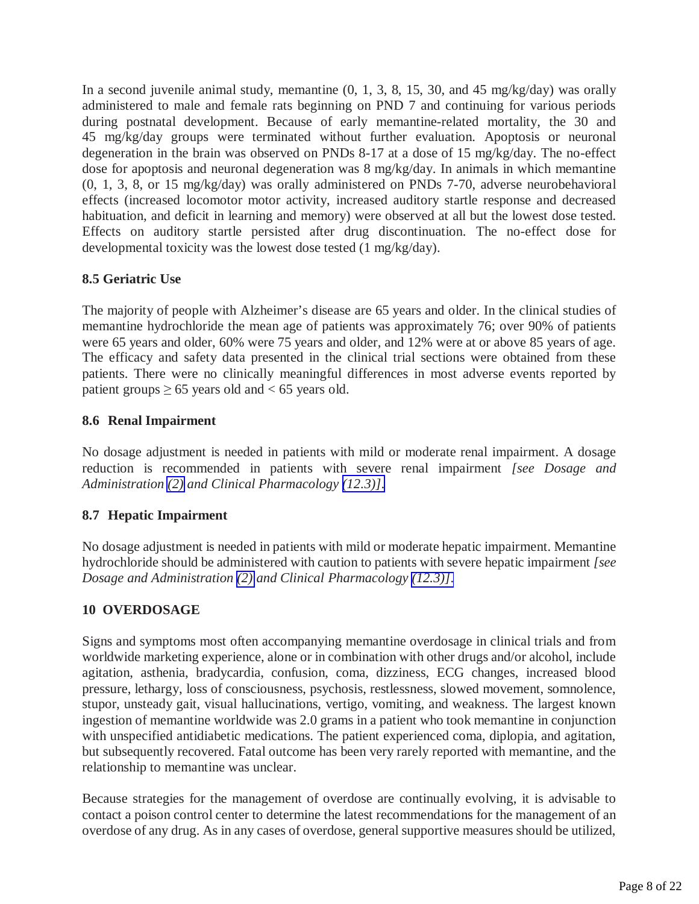<span id="page-7-0"></span>In a second juvenile animal study, memantine (0, 1, 3, 8, 15, 30, and 45 mg/kg/day) was orally administered to male and female rats beginning on PND 7 and continuing for various periods during postnatal development. Because of early memantine-related mortality, the 30 and 45 mg/kg/day groups were terminated without further evaluation. Apoptosis or neuronal degeneration in the brain was observed on PNDs 8-17 at a dose of 15 mg/kg/day. The no-effect dose for apoptosis and neuronal degeneration was 8 mg/kg/day. In animals in which memantine (0, 1, 3, 8, or 15 mg/kg/day) was orally administered on PNDs 7-70, adverse neurobehavioral effects (increased locomotor motor activity, increased auditory startle response and decreased habituation, and deficit in learning and memory) were observed at all but the lowest dose tested. Effects on auditory startle persisted after drug discontinuation. The no-effect dose for developmental toxicity was the lowest dose tested (1 mg/kg/day).

# **8.5 Geriatric Use**

The majority of people with Alzheimer's disease are 65 years and older. In the clinical studies of memantine hydrochloride the mean age of patients was approximately 76; over 90% of patients were 65 years and older, 60% were 75 years and older, and 12% were at or above 85 years of age. The efficacy and safety data presented in the clinical trial sections were obtained from these patients. There were no clinically meaningful differences in most adverse events reported by patient groups  $\geq 65$  years old and < 65 years old.

# **8.6 Renal Impairment**

No dosage adjustment is needed in patients with mild or moderate renal impairment. A dosage reduction is recommended in patients with severe renal impairment *[see Dosage and Administration [\(2\)](#page-1-1) and Clinical Pharmacology [\(12.3\)\]](#page-9-0)*.

# **8.7 Hepatic Impairment**

No dosage adjustment is needed in patients with mild or moderate hepatic impairment. Memantine hydrochloride should be administered with caution to patients with severe hepatic impairment *[see Dosage and Administration [\(2\)](#page-1-1) and Clinical Pharmacology [\(12.3\)\]](#page-9-0)*.

# **10 OVERDOSAGE**

Signs and symptoms most often accompanying memantine overdosage in clinical trials and from worldwide marketing experience, alone or in combination with other drugs and/or alcohol, include agitation, asthenia, bradycardia, confusion, coma, dizziness, ECG changes, increased blood pressure, lethargy, loss of consciousness, psychosis, restlessness, slowed movement, somnolence, stupor, unsteady gait, visual hallucinations, vertigo, vomiting, and weakness. The largest known ingestion of memantine worldwide was 2.0 grams in a patient who took memantine in conjunction with unspecified antidiabetic medications. The patient experienced coma, diplopia, and agitation, but subsequently recovered. Fatal outcome has been very rarely reported with memantine, and the relationship to memantine was unclear.

Because strategies for the management of overdose are continually evolving, it is advisable to contact a poison control center to determine the latest recommendations for the management of an overdose of any drug. As in any cases of overdose, general supportive measures should be utilized,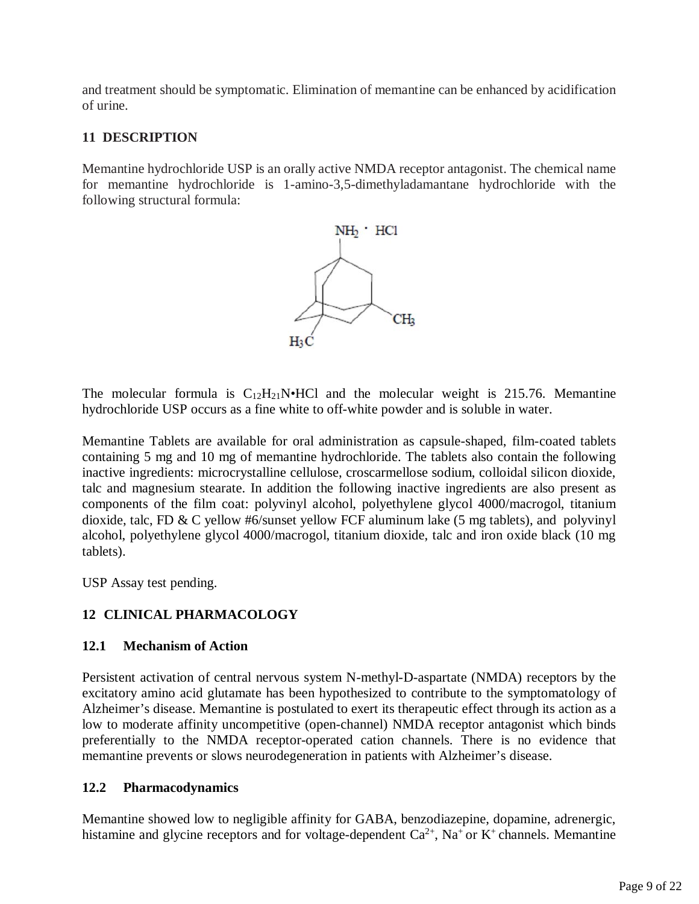and treatment should be symptomatic. Elimination of memantine can be enhanced by acidification of urine.

# **11 DESCRIPTION**

Memantine hydrochloride USP is an orally active NMDA receptor antagonist. The chemical name for memantine hydrochloride is 1-amino-3,5-dimethyladamantane hydrochloride with the following structural formula:

<span id="page-8-0"></span>

The molecular formula is  $C_{12}H_{21}N\bullet HCl$  and the molecular weight is 215.76. Memantine hydrochloride USP occurs as a fine white to off-white powder and is soluble in water.

Memantine Tablets are available for oral administration as capsule-shaped, film-coated tablets containing 5 mg and 10 mg of memantine hydrochloride. The tablets also contain the following inactive ingredients: microcrystalline cellulose, croscarmellose sodium, colloidal silicon dioxide, talc and magnesium stearate. In addition the following inactive ingredients are also present as components of the film coat: polyvinyl alcohol, polyethylene glycol 4000/macrogol, titanium dioxide, talc, FD & C yellow #6/sunset yellow FCF aluminum lake (5 mg tablets), and polyvinyl alcohol, polyethylene glycol 4000/macrogol, titanium dioxide, talc and iron oxide black (10 mg tablets).

USP Assay test pending.

# **12 CLINICAL PHARMACOLOGY**

# **12.1 Mechanism of Action**

Persistent activation of central nervous system N-methyl-D-aspartate (NMDA) receptors by the excitatory amino acid glutamate has been hypothesized to contribute to the symptomatology of Alzheimer's disease. Memantine is postulated to exert its therapeutic effect through its action as a low to moderate affinity uncompetitive (open-channel) NMDA receptor antagonist which binds preferentially to the NMDA receptor-operated cation channels. There is no evidence that memantine prevents or slows neurodegeneration in patients with Alzheimer's disease.

# **12.2 Pharmacodynamics**

Memantine showed low to negligible affinity for GABA, benzodiazepine, dopamine, adrenergic, histamine and glycine receptors and for voltage-dependent  $Ca^{2+}$ , Na<sup>+</sup> or K<sup>+</sup> channels. Memantine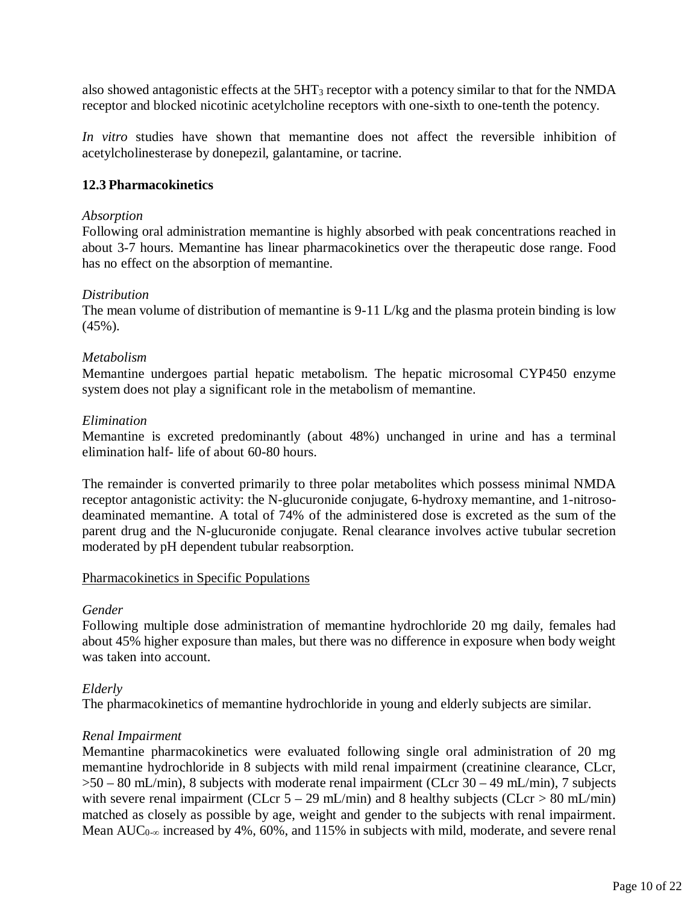<span id="page-9-0"></span>also showed antagonistic effects at the 5HT3 receptor with a potency similar to that for the NMDA receptor and blocked nicotinic acetylcholine receptors with one-sixth to one-tenth the potency.

*In vitro* studies have shown that memantine does not affect the reversible inhibition of acetylcholinesterase by donepezil, galantamine, or tacrine.

### **12.3 Pharmacokinetics**

#### *Absorption*

Following oral administration memantine is highly absorbed with peak concentrations reached in about 3-7 hours. Memantine has linear pharmacokinetics over the therapeutic dose range. Food has no effect on the absorption of memantine.

#### *Distribution*

The mean volume of distribution of memantine is 9-11 L/kg and the plasma protein binding is low (45%).

### *Metabolism*

Memantine undergoes partial hepatic metabolism. The hepatic microsomal CYP450 enzyme system does not play a significant role in the metabolism of memantine.

#### *Elimination*

Memantine is excreted predominantly (about 48%) unchanged in urine and has a terminal elimination half- life of about 60-80 hours.

The remainder is converted primarily to three polar metabolites which possess minimal NMDA receptor antagonistic activity: the N-glucuronide conjugate, 6-hydroxy memantine, and 1-nitrosodeaminated memantine. A total of 74% of the administered dose is excreted as the sum of the parent drug and the N-glucuronide conjugate. Renal clearance involves active tubular secretion moderated by pH dependent tubular reabsorption.

#### Pharmacokinetics in Specific Populations

#### *Gender*

Following multiple dose administration of memantine hydrochloride 20 mg daily, females had about 45% higher exposure than males, but there was no difference in exposure when body weight was taken into account.

#### *Elderly*

The pharmacokinetics of memantine hydrochloride in young and elderly subjects are similar.

### *Renal Impairment*

Memantine pharmacokinetics were evaluated following single oral administration of 20 mg memantine hydrochloride in 8 subjects with mild renal impairment (creatinine clearance, CLcr,  $>50 - 80$  mL/min), 8 subjects with moderate renal impairment (CLcr 30 – 49 mL/min), 7 subjects with severe renal impairment (CLcr  $5 - 29$  mL/min) and 8 healthy subjects (CLcr  $> 80$  mL/min) matched as closely as possible by age, weight and gender to the subjects with renal impairment. Mean AUC<sub>0-∞</sub> increased by 4%, 60%, and 115% in subjects with mild, moderate, and severe renal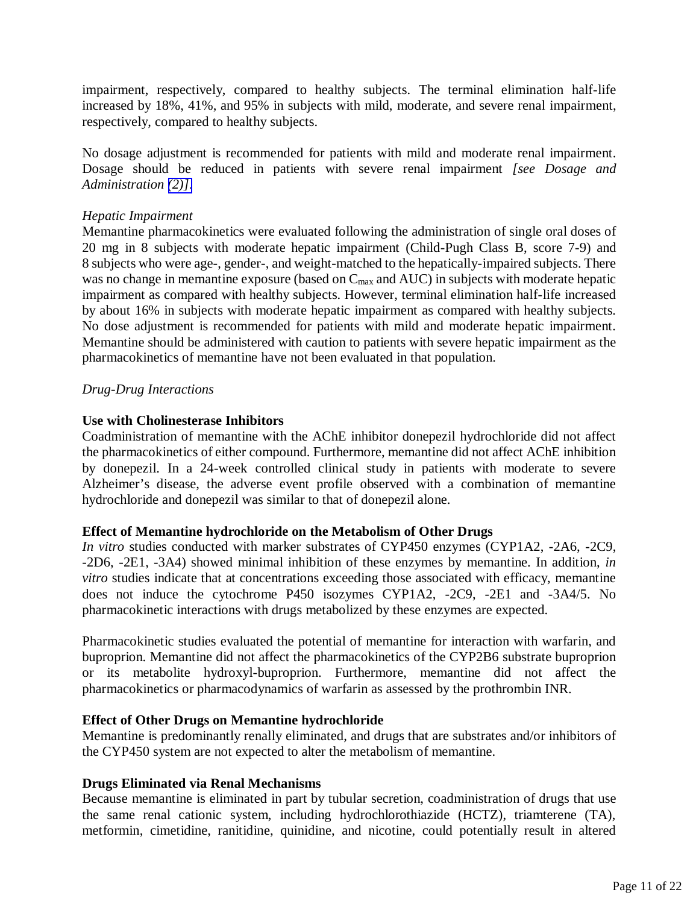impairment, respectively, compared to healthy subjects. The terminal elimination half-life increased by 18%, 41%, and 95% in subjects with mild, moderate, and severe renal impairment, respectively, compared to healthy subjects.

No dosage adjustment is recommended for patients with mild and moderate renal impairment. Dosage should be reduced in patients with severe renal impairment *[see Dosage and Administration [\(2\)\]](#page-1-1)*.

### *Hepatic Impairment*

Memantine pharmacokinetics were evaluated following the administration of single oral doses of 20 mg in 8 subjects with moderate hepatic impairment (Child-Pugh Class B, score 7-9) and 8 subjects who were age-, gender-, and weight-matched to the hepatically-impaired subjects. There was no change in memantine exposure (based on C<sub>max</sub> and AUC) in subjects with moderate hepatic impairment as compared with healthy subjects. However, terminal elimination half-life increased by about 16% in subjects with moderate hepatic impairment as compared with healthy subjects. No dose adjustment is recommended for patients with mild and moderate hepatic impairment. Memantine should be administered with caution to patients with severe hepatic impairment as the pharmacokinetics of memantine have not been evaluated in that population.

# *Drug-Drug Interactions*

# **Use with Cholinesterase Inhibitors**

Coadministration of memantine with the AChE inhibitor donepezil hydrochloride did not affect the pharmacokinetics of either compound. Furthermore, memantine did not affect AChE inhibition by donepezil. In a 24-week controlled clinical study in patients with moderate to severe Alzheimer's disease, the adverse event profile observed with a combination of memantine hydrochloride and donepezil was similar to that of donepezil alone.

### **Effect of Memantine hydrochloride on the Metabolism of Other Drugs**

*In vitro* studies conducted with marker substrates of CYP450 enzymes (CYP1A2, -2A6, -2C9, -2D6, -2E1, -3A4) showed minimal inhibition of these enzymes by memantine. In addition, *in vitro* studies indicate that at concentrations exceeding those associated with efficacy, memantine does not induce the cytochrome P450 isozymes CYP1A2, -2C9, -2E1 and -3A4/5. No pharmacokinetic interactions with drugs metabolized by these enzymes are expected.

Pharmacokinetic studies evaluated the potential of memantine for interaction with warfarin, and buproprion. Memantine did not affect the pharmacokinetics of the CYP2B6 substrate buproprion or its metabolite hydroxyl-buproprion. Furthermore, memantine did not affect the pharmacokinetics or pharmacodynamics of warfarin as assessed by the prothrombin INR.

### **Effect of Other Drugs on Memantine hydrochloride**

Memantine is predominantly renally eliminated, and drugs that are substrates and/or inhibitors of the CYP450 system are not expected to alter the metabolism of memantine.

### **Drugs Eliminated via Renal Mechanisms**

Because memantine is eliminated in part by tubular secretion, coadministration of drugs that use the same renal cationic system, including hydrochlorothiazide (HCTZ), triamterene (TA), metformin, cimetidine, ranitidine, quinidine, and nicotine, could potentially result in altered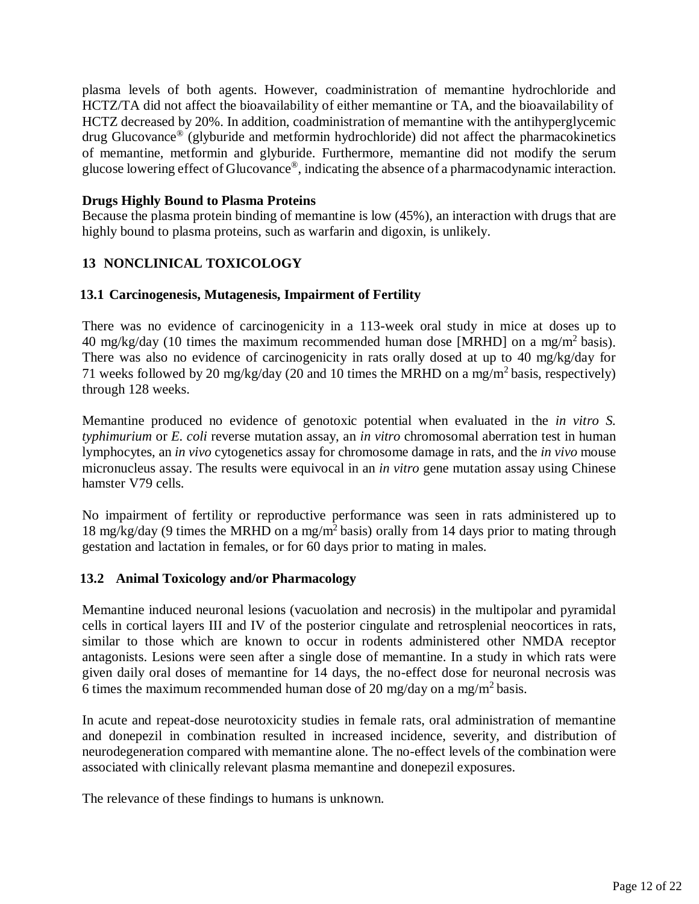<span id="page-11-0"></span>plasma levels of both agents. However, coadministration of memantine hydrochloride and HCTZ/TA did not affect the bioavailability of either memantine or TA, and the bioavailability of HCTZ decreased by 20%. In addition, coadministration of memantine with the antihyperglycemic drug Glucovance® (glyburide and metformin hydrochloride) did not affect the pharmacokinetics of memantine, metformin and glyburide. Furthermore, memantine did not modify the serum glucose lowering effect of Glucovance®, indicating the absence of a pharmacodynamic interaction.

### **Drugs Highly Bound to Plasma Proteins**

Because the plasma protein binding of memantine is low (45%), an interaction with drugs that are highly bound to plasma proteins, such as warfarin and digoxin, is unlikely.

# **13 NONCLINICAL TOXICOLOGY**

# **13.1 Carcinogenesis, Mutagenesis, Impairment of Fertility**

There was no evidence of carcinogenicity in a 113-week oral study in mice at doses up to 40 mg/kg/day (10 times the maximum recommended human dose [MRHD] on a mg/m<sup>2</sup> basis). There was also no evidence of carcinogenicity in rats orally dosed at up to 40 mg/kg/day for 71 weeks followed by 20 mg/kg/day (20 and 10 times the MRHD on a mg/m<sup>2</sup> basis, respectively) through 128 weeks.

Memantine produced no evidence of genotoxic potential when evaluated in the *in vitro S. typhimurium* or *E. coli* reverse mutation assay, an *in vitro* chromosomal aberration test in human lymphocytes, an *in vivo* cytogenetics assay for chromosome damage in rats, and the *in vivo* mouse micronucleus assay. The results were equivocal in an *in vitro* gene mutation assay using Chinese hamster V79 cells.

No impairment of fertility or reproductive performance was seen in rats administered up to 18 mg/kg/day (9 times the MRHD on a mg/m<sup>2</sup> basis) orally from 14 days prior to mating through gestation and lactation in females, or for 60 days prior to mating in males.

### **13.2 Animal Toxicology and/or Pharmacology**

Memantine induced neuronal lesions (vacuolation and necrosis) in the multipolar and pyramidal cells in cortical layers III and IV of the posterior cingulate and retrosplenial neocortices in rats, similar to those which are known to occur in rodents administered other NMDA receptor antagonists. Lesions were seen after a single dose of memantine. In a study in which rats were given daily oral doses of memantine for 14 days, the no-effect dose for neuronal necrosis was 6 times the maximum recommended human dose of 20 mg/day on a mg/m<sup>2</sup> basis.

In acute and repeat-dose neurotoxicity studies in female rats, oral administration of memantine and donepezil in combination resulted in increased incidence, severity, and distribution of neurodegeneration compared with memantine alone. The no-effect levels of the combination were associated with clinically relevant plasma memantine and donepezil exposures.

The relevance of these findings to humans is unknown.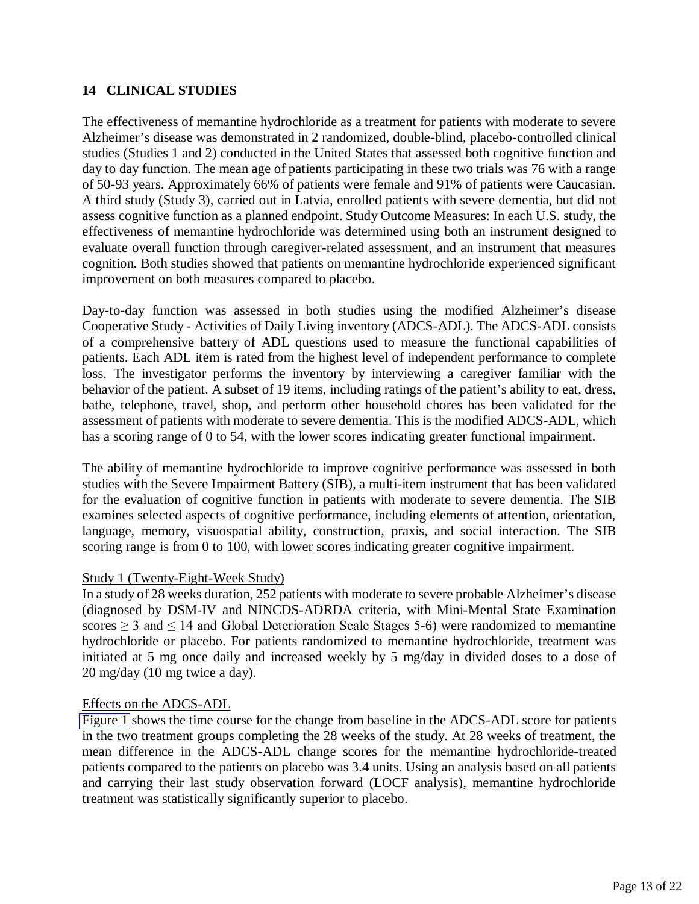# <span id="page-12-0"></span>**14 CLINICAL STUDIES**

The effectiveness of memantine hydrochloride as a treatment for patients with moderate to severe Alzheimer's disease was demonstrated in 2 randomized, double-blind, placebo-controlled clinical studies (Studies 1 and 2) conducted in the United States that assessed both cognitive function and day to day function. The mean age of patients participating in these two trials was 76 with a range of 50-93 years. Approximately 66% of patients were female and 91% of patients were Caucasian. A third study (Study 3), carried out in Latvia, enrolled patients with severe dementia, but did not assess cognitive function as a planned endpoint. Study Outcome Measures: In each U.S. study, the effectiveness of memantine hydrochloride was determined using both an instrument designed to evaluate overall function through caregiver-related assessment, and an instrument that measures cognition. Both studies showed that patients on memantine hydrochloride experienced significant improvement on both measures compared to placebo.

Day-to-day function was assessed in both studies using the modified Alzheimer's disease Cooperative Study - Activities of Daily Living inventory (ADCS-ADL). The ADCS-ADL consists of a comprehensive battery of ADL questions used to measure the functional capabilities of patients. Each ADL item is rated from the highest level of independent performance to complete loss. The investigator performs the inventory by interviewing a caregiver familiar with the behavior of the patient. A subset of 19 items, including ratings of the patient's ability to eat, dress, bathe, telephone, travel, shop, and perform other household chores has been validated for the assessment of patients with moderate to severe dementia. This is the modified ADCS-ADL, which has a scoring range of 0 to 54, with the lower scores indicating greater functional impairment.

The ability of memantine hydrochloride to improve cognitive performance was assessed in both studies with the Severe Impairment Battery (SIB), a multi-item instrument that has been validated for the evaluation of cognitive function in patients with moderate to severe dementia. The SIB examines selected aspects of cognitive performance, including elements of attention, orientation, language, memory, visuospatial ability, construction, praxis, and social interaction. The SIB scoring range is from 0 to 100, with lower scores indicating greater cognitive impairment.

### Study 1 (Twenty-Eight-Week Study)

In a study of 28 weeks duration, 252 patients with moderate to severe probable Alzheimer's disease (diagnosed by DSM-IV and NINCDS-ADRDA criteria, with Mini-Mental State Examination scores  $\geq 3$  and  $\leq 14$  and Global Deterioration Scale Stages 5-6) were randomized to memantine hydrochloride or placebo. For patients randomized to memantine hydrochloride, treatment was initiated at 5 mg once daily and increased weekly by 5 mg/day in divided doses to a dose of 20 mg/day (10 mg twice a day).

#### Effects on the ADCS-ADL

[Figure 1](#page-13-0) shows the time course for the change from baseline in the ADCS-ADL score for patients in the two treatment groups completing the 28 weeks of the study. At 28 weeks of treatment, the mean difference in the ADCS-ADL change scores for the memantine hydrochloride-treated patients compared to the patients on placebo was 3.4 units. Using an analysis based on all patients and carrying their last study observation forward (LOCF analysis), memantine hydrochloride treatment was statistically significantly superior to placebo.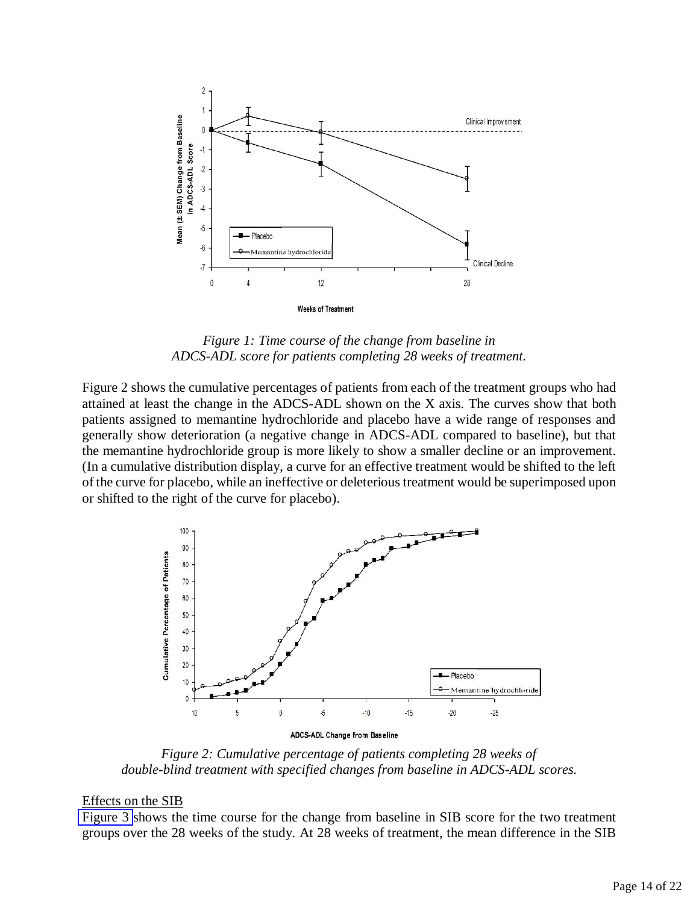<span id="page-13-0"></span>

*Figure 1: Time course of the change from baseline in ADCS-ADL score for patients completing 28 weeks of treatment.* 

Figure 2 shows the cumulative percentages of patients from each of the treatment groups who had attained at least the change in the ADCS-ADL shown on the X axis. The curves show that both patients assigned to memantine hydrochloride and placebo have a wide range of responses and generally show deterioration (a negative change in ADCS-ADL compared to baseline), but that the memantine hydrochloride group is more likely to show a smaller decline or an improvement. (In a cumulative distribution display, a curve for an effective treatment would be shifted to the left of the curve for placebo, while an ineffective or deleterious treatment would be superimposed upon or shifted to the right of the curve for placebo).



*Figure 2: Cumulative percentage of patients completing 28 weeks of double-blind treatment with specified changes from baseline in ADCS-ADL scores.* 

#### Effects on the SIB

[Figure 3](#page-14-0) shows the time course for the change from baseline in SIB score for the two treatment groups over the 28 weeks of the study. At 28 weeks of treatment, the mean difference in the SIB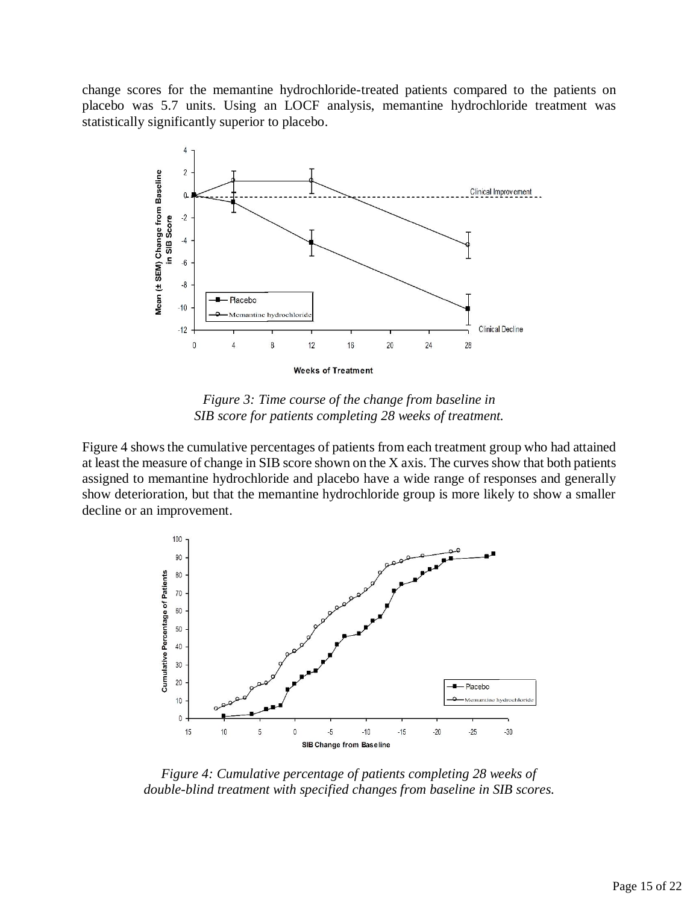change scores for the memantine hydrochloride-treated patients compared to the patients on placebo was 5.7 units. Using an LOCF analysis, memantine hydrochloride treatment was statistically significantly superior to placebo.

<span id="page-14-0"></span>

*Figure 3: Time course of the change from baseline in SIB score for patients completing 28 weeks of treatment.* 

Figure 4 shows the cumulative percentages of patients from each treatment group who had attained at least the measure of change in SIB score shown on the X axis. The curves show that both patients assigned to memantine hydrochloride and placebo have a wide range of responses and generally show deterioration, but that the memantine hydrochloride group is more likely to show a smaller decline or an improvement.



*Figure 4: Cumulative percentage of patients completing 28 weeks of double-blind treatment with specified changes from baseline in SIB scores.*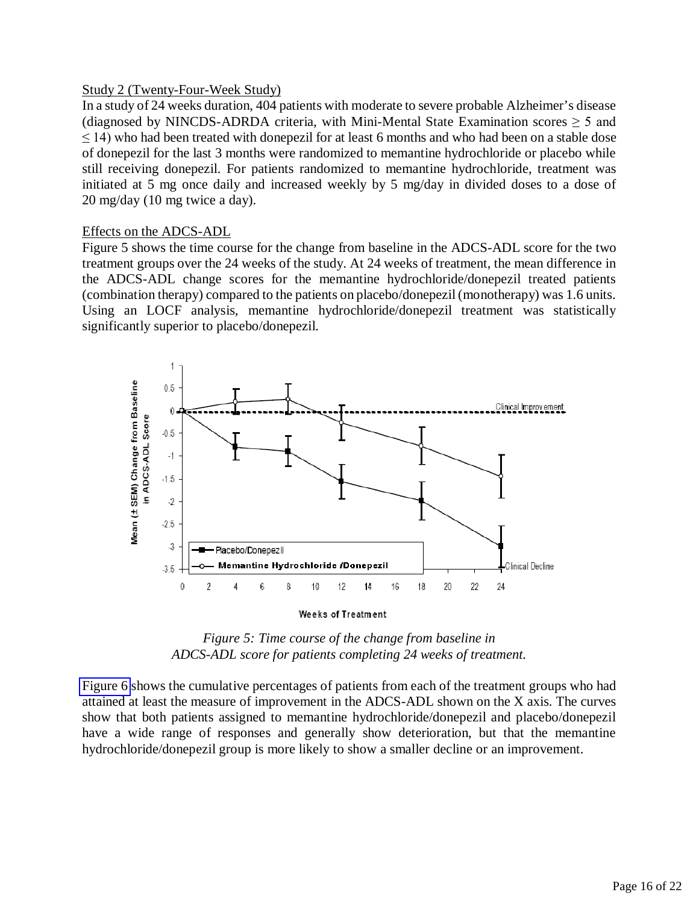### Study 2 (Twenty-Four-Week Study)

In a study of 24 weeks duration, 404 patients with moderate to severe probable Alzheimer's disease (diagnosed by NINCDS-ADRDA criteria, with Mini-Mental State Examination scores  $\geq 5$  and  $\leq$  14) who had been treated with donepezil for at least 6 months and who had been on a stable dose of donepezil for the last 3 months were randomized to memantine hydrochloride or placebo while still receiving donepezil. For patients randomized to memantine hydrochloride, treatment was initiated at 5 mg once daily and increased weekly by 5 mg/day in divided doses to a dose of 20 mg/day (10 mg twice a day).

### Effects on the ADCS-ADL

Figure 5 shows the time course for the change from baseline in the ADCS-ADL score for the two treatment groups over the 24 weeks of the study. At 24 weeks of treatment, the mean difference in the ADCS-ADL change scores for the memantine hydrochloride/donepezil treated patients (combination therapy) compared to the patients on placebo/donepezil (monotherapy) was 1.6 units. Using an LOCF analysis, memantine hydrochloride/donepezil treatment was statistically significantly superior to placebo/donepezil.



*Figure 5: Time course of the change from baseline in ADCS-ADL score for patients completing 24 weeks of treatment.* 

[Figure 6](#page-16-0) shows the cumulative percentages of patients from each of the treatment groups who had attained at least the measure of improvement in the ADCS-ADL shown on the X axis. The curves show that both patients assigned to memantine hydrochloride/donepezil and placebo/donepezil have a wide range of responses and generally show deterioration, but that the memantine hydrochloride/donepezil group is more likely to show a smaller decline or an improvement.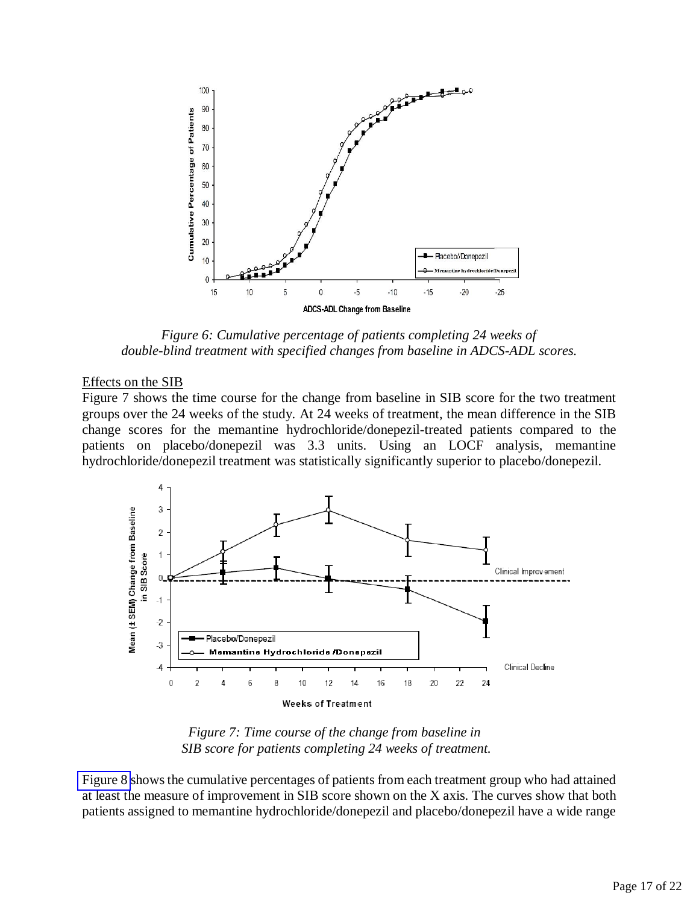<span id="page-16-0"></span>

*Figure 6: Cumulative percentage of patients completing 24 weeks of double-blind treatment with specified changes from baseline in ADCS-ADL scores.* 

#### Effects on the SIB

Figure 7 shows the time course for the change from baseline in SIB score for the two treatment groups over the 24 weeks of the study. At 24 weeks of treatment, the mean difference in the SIB change scores for the memantine hydrochloride/donepezil-treated patients compared to the patients on placebo/donepezil was 3.3 units. Using an LOCF analysis, memantine hydrochloride/donepezil treatment was statistically significantly superior to placebo/donepezil.



*Figure 7: Time course of the change from baseline in SIB score for patients completing 24 weeks of treatment.*

[Figure 8](#page-17-0) shows the cumulative percentages of patients from each treatment group who had attained at least the measure of improvement in SIB score shown on the X axis. The curves show that both patients assigned to memantine hydrochloride/donepezil and placebo/donepezil have a wide range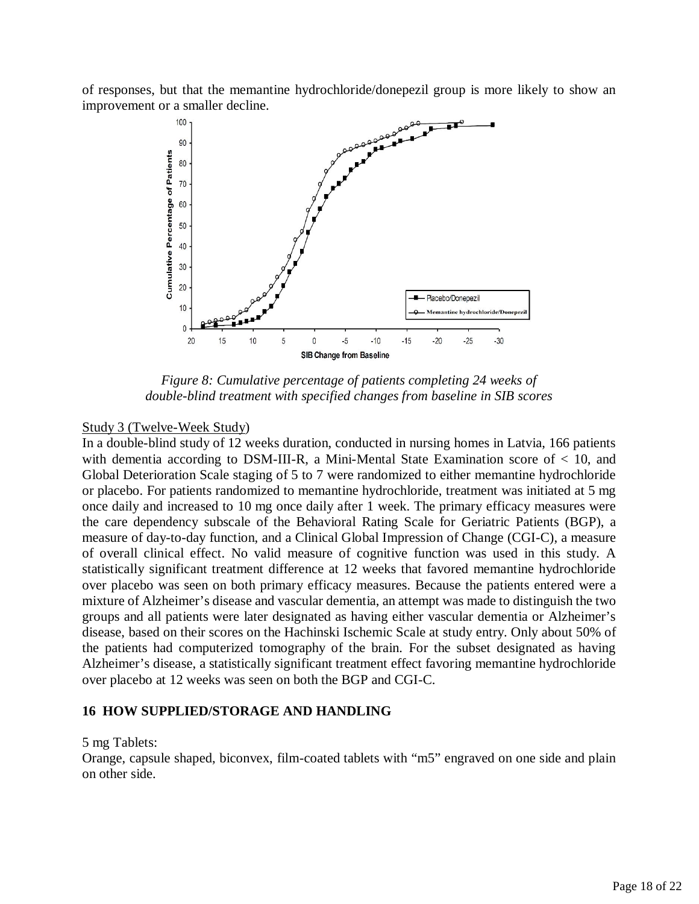of responses, but that the memantine hydrochloride/donepezil group is more likely to show an improvement or a smaller decline.

<span id="page-17-0"></span>

*Figure 8: Cumulative percentage of patients completing 24 weeks of double-blind treatment with specified changes from baseline in SIB scores* 

### Study 3 (Twelve-Week Study)

In a double-blind study of 12 weeks duration, conducted in nursing homes in Latvia, 166 patients with dementia according to DSM-III-R, a Mini-Mental State Examination score of < 10, and Global Deterioration Scale staging of 5 to 7 were randomized to either memantine hydrochloride or placebo. For patients randomized to memantine hydrochloride, treatment was initiated at 5 mg once daily and increased to 10 mg once daily after 1 week. The primary efficacy measures were the care dependency subscale of the Behavioral Rating Scale for Geriatric Patients (BGP), a measure of day-to-day function, and a Clinical Global Impression of Change (CGI-C), a measure of overall clinical effect. No valid measure of cognitive function was used in this study. A statistically significant treatment difference at 12 weeks that favored memantine hydrochloride over placebo was seen on both primary efficacy measures. Because the patients entered were a mixture of Alzheimer's disease and vascular dementia, an attempt was made to distinguish the two groups and all patients were later designated as having either vascular dementia or Alzheimer's disease, based on their scores on the Hachinski Ischemic Scale at study entry. Only about 50% of the patients had computerized tomography of the brain. For the subset designated as having Alzheimer's disease, a statistically significant treatment effect favoring memantine hydrochloride over placebo at 12 weeks was seen on both the BGP and CGI-C.

#### **16 HOW SUPPLIED/STORAGE AND HANDLING**

#### 5 mg Tablets:

Orange, capsule shaped, biconvex, film-coated tablets with "m5" engraved on one side and plain on other side.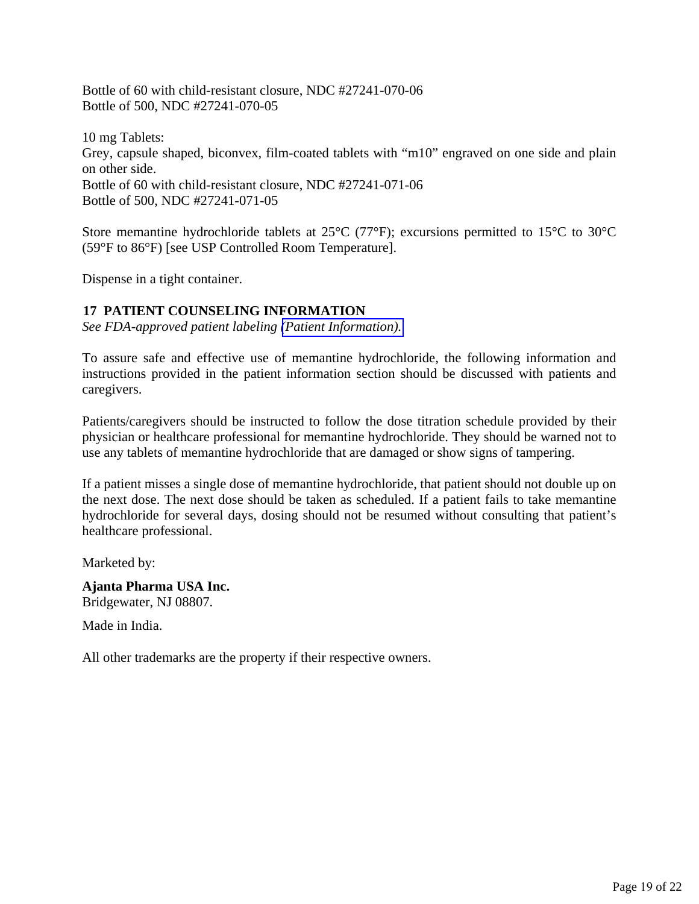<span id="page-18-0"></span>Bottle of 60 with child-resistant closure, NDC #27241-070-06 Bottle of 500, NDC #27241-070-05

10 mg Tablets: Grey, capsule shaped, biconvex, film-coated tablets with "m10" engraved on one side and plain on other side. Bottle of 60 with child-resistant closure, NDC #27241-071-06 Bottle of 500, NDC #27241-071-05

Store memantine hydrochloride tablets at 25°C (77°F); excursions permitted to 15°C to 30°C (59°F to 86°F) [see USP Controlled Room Temperature].

Dispense in a tight container.

# **17 PATIENT COUNSELING INFORMATION**

*See FDA-approved patient labeling [\(Patient Information\).](#page-19-0)* 

To assure safe and effective use of memantine hydrochloride, the following information and instructions provided in the patient information section should be discussed with patients and caregivers.

Patients/caregivers should be instructed to follow the dose titration schedule provided by their physician or healthcare professional for memantine hydrochloride. They should be warned not to use any tablets of memantine hydrochloride that are damaged or show signs of tampering.

If a patient misses a single dose of memantine hydrochloride, that patient should not double up on the next dose. The next dose should be taken as scheduled. If a patient fails to take memantine hydrochloride for several days, dosing should not be resumed without consulting that patient's healthcare professional.

Marketed by:

**Ajanta Pharma USA Inc.**  Bridgewater, NJ 08807.

Made in India.

All other trademarks are the property if their respective owners.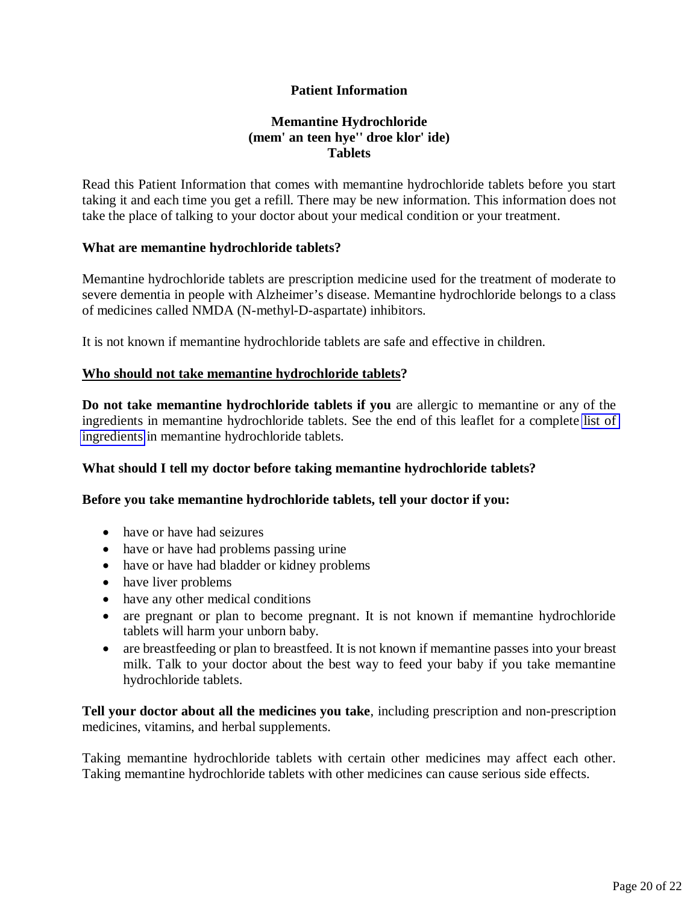# <span id="page-19-0"></span>**Patient Information**

# **Memantine Hydrochloride (mem' an teen hye'' droe klor' ide) Tablets**

Read this Patient Information that comes with memantine hydrochloride tablets before you start taking it and each time you get a refill. There may be new information. This information does not take the place of talking to your doctor about your medical condition or your treatment.

### **What are memantine hydrochloride tablets?**

Memantine hydrochloride tablets are prescription medicine used for the treatment of moderate to severe dementia in people with Alzheimer's disease. Memantine hydrochloride belongs to a class of medicines called NMDA (N-methyl-D-aspartate) inhibitors.

It is not known if memantine hydrochloride tablets are safe and effective in children.

### **Who should not take memantine hydrochloride tablets?**

**Do not take memantine hydrochloride tablets if you** are allergic to memantine or any of the ingredients in memantine hydrochloride tablets. See the end of this leaflet for a complete [list of](#page-21-0)  [ingredients](#page-21-1) in memantine hydrochloride tablets.

### **What should I tell my doctor before taking memantine hydrochloride tablets?**

#### **Before you take memantine hydrochloride tablets, tell your doctor if you:**

- have or have had seizures
- have or have had problems passing urine
- have or have had bladder or kidney problems
- have liver problems
- have any other medical conditions
- are pregnant or plan to become pregnant. It is not known if memantine hydrochloride tablets will harm your unborn baby.
- are breastfeeding or plan to breastfeed. It is not known if memantine passes into your breast milk. Talk to your doctor about the best way to feed your baby if you take memantine hydrochloride tablets.

**Tell your doctor about all the medicines you take**, including prescription and non-prescription medicines, vitamins, and herbal supplements.

Taking memantine hydrochloride tablets with certain other medicines may affect each other. Taking memantine hydrochloride tablets with other medicines can cause serious side effects.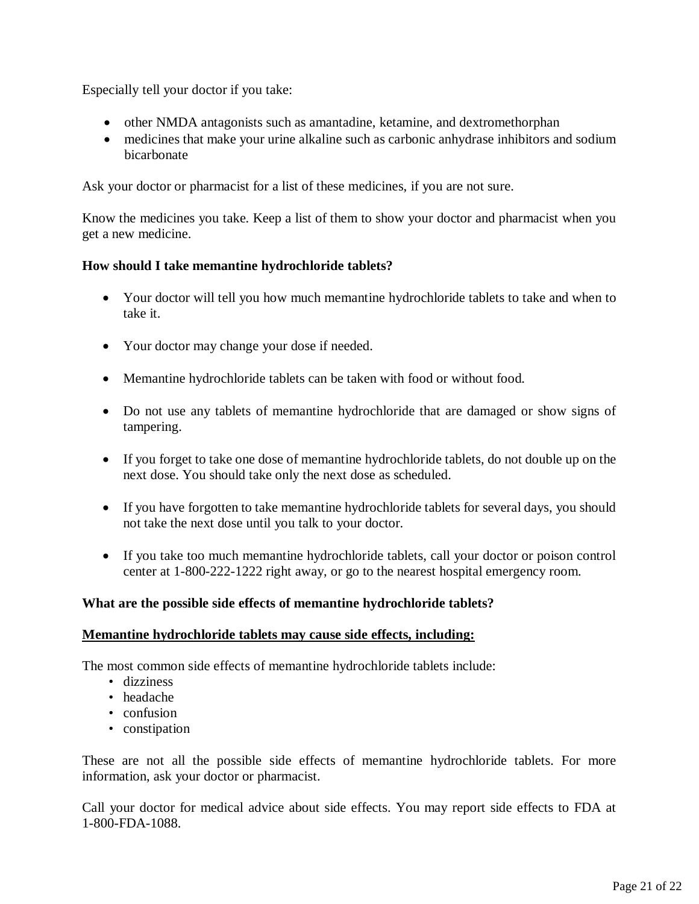Especially tell your doctor if you take:

- other NMDA antagonists such as amantadine, ketamine, and dextromethorphan
- medicines that make your urine alkaline such as carbonic anhydrase inhibitors and sodium bicarbonate

Ask your doctor or pharmacist for a list of these medicines, if you are not sure.

Know the medicines you take. Keep a list of them to show your doctor and pharmacist when you get a new medicine.

### **How should I take memantine hydrochloride tablets?**

- Your doctor will tell you how much memantine hydrochloride tablets to take and when to take it.
- Your doctor may change your dose if needed.
- Memantine hydrochloride tablets can be taken with food or without food.
- Do not use any tablets of memantine hydrochloride that are damaged or show signs of tampering.
- If you forget to take one dose of memantine hydrochloride tablets, do not double up on the next dose. You should take only the next dose as scheduled.
- If you have forgotten to take memantine hydrochloride tablets for several days, you should not take the next dose until you talk to your doctor.
- If you take too much memantine hydrochloride tablets, call your doctor or poison control center at 1-800-222-1222 right away, or go to the nearest hospital emergency room.

# **What are the possible side effects of memantine hydrochloride tablets?**

### **Memantine hydrochloride tablets may cause side effects, including:**

The most common side effects of memantine hydrochloride tablets include:

- dizziness
- headache
- confusion
- constipation

These are not all the possible side effects of memantine hydrochloride tablets. For more information, ask your doctor or pharmacist.

Call your doctor for medical advice about side effects. You may report side effects to FDA at 1-800-FDA-1088.